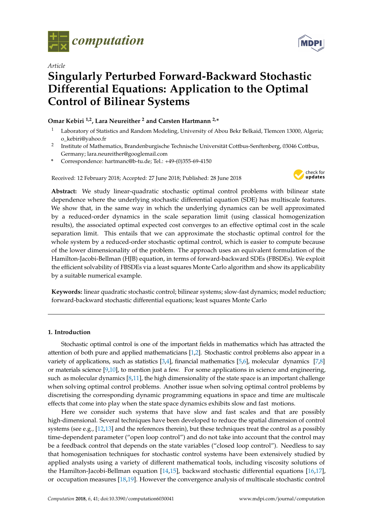

*Article*

# **Singularly Perturbed Forward-Backward Stochastic Differential Equations: Application to the Optimal Control of Bilinear Systems**

## **Omar Kebiri 1,2, Lara Neureither <sup>2</sup> and Carsten Hartmann 2,\***

- <sup>1</sup> Laboratory of Statistics and Random Modeling, University of Abou Bekr Belkaid, Tlemcen 13000, Algeria; o\_kebiri@yahoo.fr
- 2 Institute of Mathematics, Brandenburgische Technische Universität Cottbus-Senftenberg, 03046 Cottbus, Germany; lara.neureither@googlemail.com
- **\*** Correspondence: hartmanc@b-tu.de; Tel.: +49-(0)355-69-4150

Received: 12 February 2018; Accepted: 27 June 2018; Published: 28 June 2018



**Abstract:** We study linear-quadratic stochastic optimal control problems with bilinear state dependence where the underlying stochastic differential equation (SDE) has multiscale features. We show that, in the same way in which the underlying dynamics can be well approximated by a reduced-order dynamics in the scale separation limit (using classical homogenization results), the associated optimal expected cost converges to an effective optimal cost in the scale separation limit. This entails that we can approximate the stochastic optimal control for the whole system by a reduced-order stochastic optimal control, which is easier to compute because of the lower dimensionality of the problem. The approach uses an equivalent formulation of the Hamilton-Jacobi-Bellman (HJB) equation, in terms of forward-backward SDEs (FBSDEs). We exploit the efficient solvability of FBSDEs via a least squares Monte Carlo algorithm and show its applicability by a suitable numerical example.

**Keywords:** linear quadratic stochastic control; bilinear systems; slow-fast dynamics; model reduction; forward-backward stochastic differential equations; least squares Monte Carlo

## **1. Introduction**

Stochastic optimal control is one of the important fields in mathematics which has attracted the attention of both pure and applied mathematicians [\[1,](#page-15-0)[2\]](#page-15-1). Stochastic control problems also appear in a variety of applications, such as statistics  $[3,4]$  $[3,4]$ , financial mathematics  $[5,6]$  $[5,6]$ , molecular dynamics  $[7,8]$  $[7,8]$ or materials science [\[9,](#page-15-8)[10\]](#page-15-9), to mention just a few. For some applications in science and engineering, such as molecular dynamics [\[8](#page-15-7)[,11\]](#page-15-10), the high dimensionality of the state space is an important challenge when solving optimal control problems. Another issue when solving optimal control problems by discretising the corresponding dynamic programming equations in space and time are multiscale effects that come into play when the state space dynamics exhibits slow and fast motions.

Here we consider such systems that have slow and fast scales and that are possibly high-dimensional. Several techniques have been developed to reduce the spatial dimension of control systems (see e.g., [\[12,](#page-15-11)[13\]](#page-15-12) and the references therein), but these techniques treat the control as a possibly time-dependent parameter ("open loop control") and do not take into account that the control may be a feedback control that depends on the state variables ("closed loop control"). Needless to say that homogenisation techniques for stochastic control systems have been extensively studied by applied analysts using a variety of different mathematical tools, including viscosity solutions of the Hamilton-Jacobi-Bellman equation [\[14](#page-15-13)[,15\]](#page-15-14), backward stochastic differential equations [\[16,](#page-15-15)[17\]](#page-15-16), or occupation measures [\[18](#page-15-17)[,19\]](#page-15-18). However the convergence analysis of multiscale stochastic control

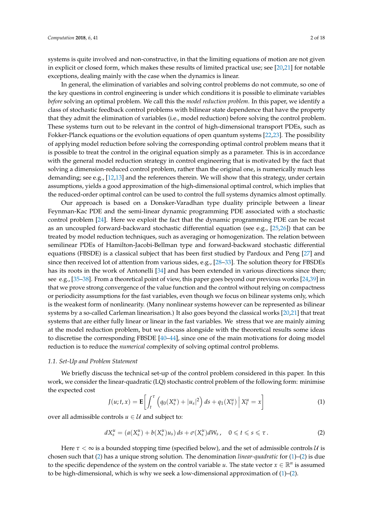systems is quite involved and non-constructive, in that the limiting equations of motion are not given in explicit or closed form, which makes these results of limited practical use; see [\[20](#page-15-19)[,21\]](#page-15-20) for notable exceptions, dealing mainly with the case when the dynamics is linear.

In general, the elimination of variables and solving control problems do not commute, so one of the key questions in control engineering is under which conditions it is possible to eliminate variables *before* solving an optimal problem. We call this the *model reduction problem*. In this paper, we identify a class of stochastic feedback control problems with bilinear state dependence that have the property that they admit the elimination of variables (i.e., model reduction) before solving the control problem. These systems turn out to be relevant in the control of high-dimensional transport PDEs, such as Fokker-Planck equations or the evolution equations of open quantum systems [\[22](#page-15-21)[,23\]](#page-16-0). The possibility of applying model reduction before solving the corresponding optimal control problem means that it is possible to treat the control in the original equation simply as a parameter. This is in accordance with the general model reduction strategy in control engineering that is motivated by the fact that solving a dimension-reduced control problem, rather than the original one, is numerically much less demanding; see e.g., [\[12,](#page-15-11)[13\]](#page-15-12) and the references therein. We will show that this strategy, under certain assumptions, yields a good approximation of the high-dimensional optimal control, which implies that the reduced-order optimal control can be used to control the full systems dynamics almost optimally.

Our approach is based on a Donsker-Varadhan type duality principle between a linear Feynman-Kac PDE and the semi-linear dynamic programming PDE associated with a stochastic control problem [\[24\]](#page-16-1). Here we exploit the fact that the dynamic programming PDE can be recast as an uncoupled forward-backward stochastic differential equation (see e.g., [\[25](#page-16-2)[,26\]](#page-16-3)) that can be treated by model reduction techniques, such as averaging or homogenization. The relation between semilinear PDEs of Hamilton-Jacobi-Bellman type and forward-backward stochastic differential equations (FBSDE) is a classical subject that has been first studied by Pardoux and Peng [\[27\]](#page-16-4) and since then received lot of attention from various sides, e.g., [\[28–](#page-16-5)[33\]](#page-16-6). The solution theory for FBSDEs has its roots in the work of Antonelli [\[34\]](#page-16-7) and has been extended in various directions since then; see e.g., [\[35](#page-16-8)[–38\]](#page-16-9). From a theoretical point of view, this paper goes beyond our previous works [\[24](#page-16-1)[,39\]](#page-16-10) in that we prove strong convergence of the value function and the control without relying on compactness or periodicity assumptions for the fast variables, even though we focus on bilinear systems only, which is the weakest form of nonlinearity. (Many nonlinear systems however can be represented as bilinear systems by a so-called Carleman linearisation.) It also goes beyond the classical works [\[20](#page-15-19)[,21\]](#page-15-20) that treat systems that are either fully linear or linear in the fast variables. We stress that we are mainly aiming at the model reduction problem, but we discuss alongside with the theoretical results some ideas to discretise the corresponding FBSDE [\[40–](#page-16-11)[44\]](#page-16-12), since one of the main motivations for doing model reduction is to reduce the *numerical* complexity of solving optimal control problems.

#### *1.1. Set-Up and Problem Statement*

We briefly discuss the technical set-up of the control problem considered in this paper. In this work, we consider the linear-quadratic (LQ) stochastic control problem of the following form: minimise the expected cost

<span id="page-1-1"></span>
$$
J(u; t, x) = \mathbf{E} \left[ \int_{t}^{\tau} \left( q_0(X_s^u) + |u_s|^2 \right) ds + q_1(X_\tau^u) \left| X_t^u = x \right| \right]
$$
(1)

over all admissible controls  $u \in U$  and subject to:

<span id="page-1-0"></span>
$$
dX_s^u = (a(X_s^u) + b(X_s^u)u_s) ds + \sigma(X_s^u) dW_s, \quad 0 \leq t \leq s \leq \tau.
$$
 (2)

Here  $\tau < \infty$  is a bounded stopping time (specified below), and the set of admissible controls  $\mathcal{U}$  is chosen such that [\(2\)](#page-1-0) has a unique strong solution. The denomination *linear-quadratic* for [\(1\)](#page-1-1)–[\(2\)](#page-1-0) is due to the specific dependence of the system on the control variable *u*. The state vector  $x \in \mathbb{R}^n$  is assumed to be high-dimensional, which is why we seek a low-dimensional approximation of  $(1)$ – $(2)$ .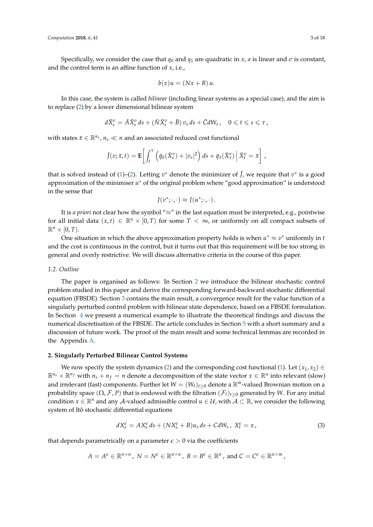Specifically, we consider the case that  $q_0$  and  $q_1$  are quadratic in *x*, *a* is linear and *σ* is constant, and the control term is an affine function of *x*, i.e.,

$$
b(x)u = (Nx + B)u.
$$

In this case, the system is called *bilinear* (including linear systems as a special case), and the aim is to replace [\(2\)](#page-1-0) by a lower dimensional bilinear system

$$
d\bar{X}_s^v = \bar{A}\bar{X}_s^v ds + (\bar{N}\bar{X}_s^v + \bar{B}) v_s ds + \bar{C} dW_s, \quad 0 \leqslant t \leqslant s \leqslant \tau,
$$

with states  $\bar{x} \in \mathbb{R}^{n_s}$ ,  $n_s \ll n$  and an associated reduced cost functional

$$
\bar{J}(v;\bar{x},t) = \mathbf{E}\bigg[\int_t^{\tau} \left(\bar{q}_0(\bar{X}_s^v) + |v_s|^2\right) ds + \bar{q}_1(\bar{X}_\tau^v) \left|\bar{X}_t^v = \bar{x}\right],
$$

that is solved instead of [\(1\)](#page-1-1)–[\(2\)](#page-1-0). Letting  $v^*$  denote the minimizer of  $\bar{J}$ , we require that  $v^*$  is a good approximation of the minimiser  $u^*$  of the original problem where "good approximation" is understood in the sense that

$$
J(v^*; \cdot, \cdot) \approx J(u^*; \cdot, \cdot).
$$

It is *a priori* not clear how the symbol "≈" in the last equation must be interpreted, e.g., pointwise for all initial data  $(x, t) \in \mathbb{R}^n \times [0, T)$  for some  $T < \infty$ , or uniformly on all compact subsets of  $\mathbb{R}^n \times [0,T)$ .

One situation in which the above approximation property holds is when  $u^* \approx v^*$  uniformly in *t* and the cost is continuous in the control, but it turns out that this requirement will be too strong in general and overly restrictive. We will discuss alternative criteria in the course of this paper.

#### *1.2. Outline*

The paper is organised as follows: In Section [2](#page-2-0) we introduce the bilinear stochastic control problem studied in this paper and derive the corresponding forward-backward stochastic differential equation (FBSDE). Section [3](#page-5-0) contains the main result, a convergence result for the value function of a singularly perturbed control problem with bilinear state dependence, based on a FBSDE formulation. In Section [4](#page-8-0) we present a numerical example to illustrate the theoretical findings and discuss the numerical discretisation of the FBSDE. The article concludes in Section [5](#page-12-0) with a short summary and a discussion of future work. The proof of the main result and some technical lemmas are recorded in the Appendix [A.](#page-12-1)

## <span id="page-2-0"></span>**2. Singularly Perturbed Bilinear Control Systems**

We now specify the system dynamics [\(2\)](#page-1-0) and the corresponding cost functional [\(1\)](#page-1-1). Let  $(x_1, x_2) \in$  $\mathbb{R}^{n_s} \times \mathbb{R}^{n_f}$  with  $n_s + n_f = n$  denote a decomposition of the state vector  $x \in \mathbb{R}^n$  into relevant (slow) and irrelevant (fast) components. Further let  $W = (W_t)_{t>0}$  denote a  $\mathbb{R}^m$ -valued Brownian motion on a probability space  $(\Omega, \mathcal{F}, P)$  that is endowed with the filtration  $(\mathcal{F}_t)_{t>0}$  generated by *W*. For any initial condition  $x \in \mathbb{R}^n$  and any A-valued admissible control  $u \in \mathcal{U}$ , with  $\mathcal{A} \subset \mathbb{R}$ , we consider the following system of Itô stochastic differential equations

<span id="page-2-1"></span>
$$
dX_{s}^{\epsilon} = AX_{s}^{\epsilon} ds + (NX_{s}^{\epsilon} + B)u_{s} ds + CdW_{s}, \ X_{t}^{\epsilon} = x, \tag{3}
$$

that depends parametrically on a parameter  $\epsilon > 0$  via the coefficients

$$
A = A^{\epsilon} \in \mathbb{R}^{n \times n}, \ N = N^{\epsilon} \in \mathbb{R}^{n \times n}, \ B = B^{\epsilon} \in \mathbb{R}^{n}, \text{ and } C = C^{\epsilon} \in \mathbb{R}^{n \times m},
$$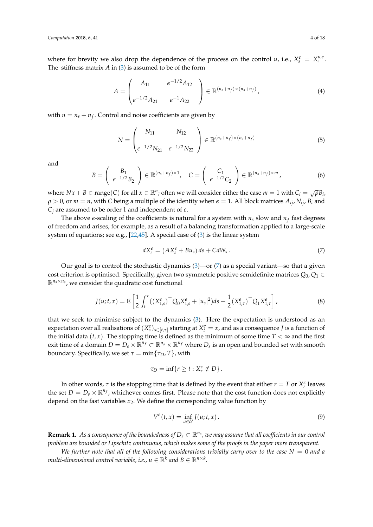where for brevity we also drop the dependence of the process on the control *u*, i.e.,  $X_s^{\epsilon} = X_s^{\mu,\epsilon}$ . The stiffness matrix *A* in [\(3\)](#page-2-1) is assumed to be of the form

$$
A = \begin{pmatrix} A_{11} & \epsilon^{-1/2} A_{12} \\ \epsilon^{-1/2} A_{21} & \epsilon^{-1} A_{22} \end{pmatrix} \in \mathbb{R}^{(n_s + n_f) \times (n_s + n_f)},
$$
(4)

with  $n = n_s + n_f$ . Control and noise coefficients are given by

$$
N = \begin{pmatrix} N_{11} & N_{12} \\ \epsilon^{-1/2} N_{21} & \epsilon^{-1/2} N_{22} \end{pmatrix} \in \mathbb{R}^{(n_s + n_f) \times (n_s + n_f)}
$$
(5)

and

$$
B = \left(\begin{array}{c} B_1 \\ \epsilon^{-1/2} B_2 \end{array}\right) \in \mathbb{R}^{(n_s + n_f) \times 1}, \quad C = \left(\begin{array}{c} C_1 \\ \epsilon^{-1/2} C_2 \end{array}\right) \in \mathbb{R}^{(n_s + n_f) \times m}, \tag{6}
$$

where  $Nx + B \in \text{range}(C)$  for all  $x \in \mathbb{R}^n$ ; often we will consider either the case  $m = 1$  with  $C_i = \sqrt{\rho}B_i$ ,  $\rho > 0$ , or  $m = n$ , with *C* being a multiple of the identity when  $\epsilon = 1$ . All block matrices  $A_{ij}$ ,  $N_{ij}$ ,  $B_i$  and  $C_i$  are assumed to be order 1 and independent of  $\epsilon$ .

The above *e*-scaling of the coefficients is natural for a system with *n<sup>s</sup>* slow and *n<sup>f</sup>* fast degrees of freedom and arises, for example, as a result of a balancing transformation applied to a large-scale system of equations; see e.g., [\[22](#page-15-21)[,45\]](#page-16-13). A special case of [\(3\)](#page-2-1) is the linear system

<span id="page-3-0"></span>
$$
dX_s^{\epsilon} = (AX_s^{\epsilon} + Bu_s) ds + CdW_s.
$$
\n(7)

Our goal is to control the stochastic dynamics  $(3)$ —or  $(7)$  as a special variant—so that a given cost criterion is optimised. Specifically, given two symmetric positive semidefinite matrices  $Q_0, Q_1 \in$  $\mathbb{R}^{n_s \times n_s}$ , we consider the quadratic cost functional

<span id="page-3-2"></span>
$$
J(u;t,x) = \mathbf{E}\left[\frac{1}{2}\int_t^\tau \left((X_{1,s}^\epsilon)^\top Q_0 X_{1,s}^\epsilon + |u_s|^2\right) ds + \frac{1}{2}(X_{1,\tau}^\epsilon)^\top Q_1 X_{1,\tau}^\epsilon\right],\tag{8}
$$

that we seek to minimise subject to the dynamics [\(3\)](#page-2-1). Here the expectation is understood as an expectation over all realisations of  $(X_s^{\epsilon})_{s\in[t,\tau]}$  starting at  $X_t^{\epsilon}=x$ , and as a consequence *J* is a function of the initial data  $(t, x)$ . The stopping time is defined as the minimum of some time  $T < \infty$  and the first exit time of a domain  $D = D_s \times \mathbb{R}^{n_f} \subset \mathbb{R}^{n_s} \times \mathbb{R}^{n_f}$  where  $D_s$  is an open and bounded set with smooth boundary. Specifically, we set  $\tau = \min\{\tau_D, T\}$ , with

$$
\tau_D=\inf\{r\geq t:X_r^{\epsilon}\notin D\}.
$$

In other words,  $\tau$  is the stopping time that is defined by the event that either  $r = T$  or  $X_r^{\epsilon}$  leaves the set  $D = D_s \times \mathbb{R}^{n_f}$ , whichever comes first. Please note that the cost function does not explicitly depend on the fast variables  $x_2$ . We define the corresponding value function by

<span id="page-3-1"></span>
$$
V^{\epsilon}(t,x) = \inf_{u \in \mathcal{U}} J(u;t,x).
$$
 (9)

**Remark 1.** As a consequence of the boundedness of  $D_s \subset \mathbb{R}^{n_s}$ , we may assume that all coefficients in our control *problem are bounded or Lipschitz continuous, which makes some of the proofs in the paper more transparent.*

*We further note that all of the following considerations trivially carry over to the case*  $N = 0$  *and a multi-dimensional control variable, i.e.,*  $u \in \mathbb{R}^k$  *and*  $B \in \mathbb{R}^{n \times k}$ *.*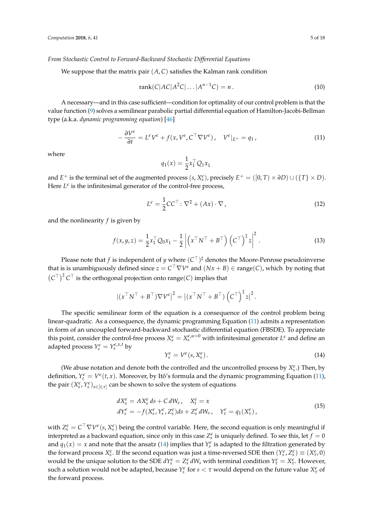## *From Stochastic Control to Forward-Backward Stochastic Differential Equations*

We suppose that the matrix pair  $(A, C)$  satisfies the Kalman rank condition

<span id="page-4-3"></span>
$$
rank(C|AC|A2C|...|An-1C) = n.
$$
\n(10)

A necessary—and in this case sufficient—condition for optimality of our control problem is that the value function [\(9\)](#page-3-1) solves a semilinear parabolic partial differential equation of Hamilton-Jacobi-Bellman type (a.k.a. *dynamic programming equation*) [\[46\]](#page-16-14)

<span id="page-4-0"></span>
$$
-\frac{\partial V^{\epsilon}}{\partial t} = L^{\epsilon} V^{\epsilon} + f(x, V^{\epsilon}, C^{\top} \nabla V^{\epsilon}), \quad V^{\epsilon}|_{E^{+}} = q_{1}, \tag{11}
$$

where

$$
q_1(x) = \frac{1}{2}x_1^\top Q_1 x_1
$$

and  $E^+$  is the terminal set of the augmented process  $(s, X_s^{\epsilon})$ , precisely  $E^+ = ([0, T) \times \partial D) \cup (\{T\} \times D)$ . Here  $L^{\epsilon}$  is the infinitesimal generator of the control-free process,

<span id="page-4-4"></span>
$$
L^{\epsilon} = \frac{1}{2}CC^{\top} \colon \nabla^2 + (Ax) \cdot \nabla,
$$
\n(12)

and the nonlinearity *f* is given by

$$
f(x,y,z) = \frac{1}{2}x_1^\top Q_0 x_1 - \frac{1}{2} \left| \left( x^\top N^\top + B^\top \right) \left( C^\top \right)^{\sharp} z \right|^2.
$$
 (13)

Please note that  $f$  is independent of  $y$  where  $(C^\top)^\sharp$  denotes the Moore-Penrose pseudoinverse that is is unambiguously defined since  $z = C^{\top} \nabla V^{\epsilon}$  and  $(Nx + B) \in \text{range}(C)$ , which by noting that  $(C^{\top})^{\sharp} C^{\top}$  is the orthogonal projection onto range(*C*) implies that

$$
|(x^\top N^\top + B^\top)\nabla V^{\epsilon}|^2 = |(x^\top N^\top + B^\top) (C^\top)^{\sharp} z|^2.
$$

The specific semilinear form of the equation is a consequence of the control problem being linear-quadratic. As a consequence, the dynamic programming Equation [\(11\)](#page-4-0) admits a representation in form of an uncoupled forward-backward stochastic differential equation (FBSDE). To appreciate this point, consider the control-free process  $X_s^{\epsilon} = X_s^{\epsilon,\mu=0}$  with infinitesimal generator  $L^{\epsilon}$  and define an adapted process  $Y_s^{\epsilon} = Y_s^{\epsilon, x, t}$  by

<span id="page-4-1"></span>
$$
Y_s^{\epsilon} = V^{\epsilon}(s, X_s^{\epsilon}). \tag{14}
$$

(We abuse notation and denote both the controlled and the uncontrolled process by  $X_{\rm s}^{\epsilon}$ .) Then, by definition,  $Y_t^{\epsilon} = V^{\epsilon}(t, x)$ . Moreover, by Itô's formula and the dynamic programming Equation [\(11\)](#page-4-0), the pair  $(X_s^{\epsilon}, Y_s^{\epsilon})_{s \in [t,\tau]}$  can be shown to solve the system of equations

<span id="page-4-2"></span>
$$
dX_{s}^{\epsilon} = AX_{s}^{\epsilon} ds + CdW_{s}, \quad X_{t}^{\epsilon} = x
$$
  
\n
$$
dY_{s}^{\epsilon} = -f(X_{s}^{\epsilon}, Y_{s}^{\epsilon}, Z_{s}^{\epsilon})ds + Z_{s}^{\epsilon} dW_{s}, \quad Y_{\tau}^{\epsilon} = q_{1}(X_{\tau}^{\epsilon}),
$$
\n(15)

with  $Z_s^{\epsilon} = C^{\top} \nabla V^{\epsilon}(s, X_s^{\epsilon})$  being the control variable. Here, the second equation is only meaningful if interpreted as a backward equation, since only in this case  $Z_s^{\epsilon}$  is uniquely defined. To see this, let  $f = 0$ and  $q_1(x) = x$  and note that the ansatz [\(14\)](#page-4-1) implies that  $Y_s^{\epsilon}$  is adapted to the filtration generated by the forward process  $X_s^{\epsilon}$ . If the second equation was just a time-reversed SDE then  $(Y_s^{\epsilon}, Z_s^{\epsilon}) \equiv (X_{\tau}^{\epsilon}, 0)$ would be the unique solution to the SDE  $dY_s^{\epsilon} = Z_s^{\epsilon} dW_s$  with terminal condition  $Y_{\tau}^{\epsilon} = X_{\tau}^{\epsilon}$ . However, such a solution would not be adapted, because  $Y_s^{\epsilon}$  for  $s < \tau$  would depend on the future value  $X_{\tau}^{\epsilon}$  of the forward process.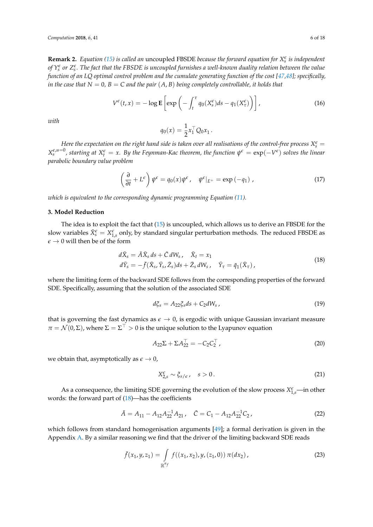**Remark 2.** *Equation* [\(15\)](#page-4-2) *is called an* uncoupled FBSDE *because the forward equation for*  $X_s^{\epsilon}$  *is independent* of  $Y_s^\epsilon$  or  $Z_s^\epsilon$ . The fact that the FBSDE is uncoupled furnishes a well-known duality relation between the value *function of an LQ optimal control problem and the cumulate generating function of the cost [\[47,](#page-16-15)[48\]](#page-16-16); specifically, in the case that*  $N = 0$ ,  $B = C$  *and the pair*  $(A, B)$  *being completely controllable, it holds that* 

$$
V^{\epsilon}(t,x) = -\log \mathbf{E}\left[\exp\left(-\int_{t}^{\tau} q_{0}(X_{s}^{\epsilon})ds - q_{1}(X_{\tau}^{\epsilon})\right)\right],
$$
\n(16)

*with*

$$
q_0(x) = \frac{1}{2} x_1^\top Q_0 x_1 \,.
$$

*Here the expectation on the right hand side is taken over all realisations of the control-free process*  $X_s^\epsilon=$  $X_s^{\epsilon, u=0}$ , starting at  $X_t^{\epsilon} = x$ . By the Feynman-Kac theorem, the function  $\psi^{\epsilon} = \exp(-V^{\epsilon})$  solves the linear *parabolic boundary value problem*

$$
\left(\frac{\partial}{\partial t} + L^{\epsilon}\right)\psi^{\epsilon} = q_0(x)\psi^{\epsilon}, \quad \psi^{\epsilon}|_{E^{+}} = \exp\left(-q_1\right), \tag{17}
$$

*which is equivalent to the corresponding dynamic programming Equation [\(11\)](#page-4-0).*

## <span id="page-5-0"></span>**3. Model Reduction**

The idea is to exploit the fact that [\(15\)](#page-4-2) is uncoupled, which allows us to derive an FBSDE for the slow variables  $\bar{X}^{\epsilon}_{s} = X^{\epsilon}_{1,s}$  only, by standard singular perturbation methods. The reduced FBSDE as  $\epsilon \rightarrow 0$  will then be of the form

<span id="page-5-1"></span>
$$
d\bar{X}_s = \bar{A}\bar{X}_s ds + \bar{C} dW_s, \quad \bar{X}_t = x_1
$$
  
\n
$$
d\bar{Y}_s = -\bar{f}(\bar{X}_s, \bar{Y}_s, \bar{Z}_s) ds + \bar{Z}_s dW_s, \quad \bar{Y}_\tau = \bar{q}_1(\bar{X}_\tau),
$$
\n(18)

where the limiting form of the backward SDE follows from the corresponding properties of the forward SDE. Specifically, assuming that the solution of the associated SDE

<span id="page-5-2"></span>
$$
d\xi_s = A_{22}\xi_s ds + C_2 dW_s \,, \tag{19}
$$

that is governing the fast dynamics as  $\epsilon \to 0$ , is ergodic with unique Gaussian invariant measure  $\pi = \mathcal{N}(0, \Sigma)$ , where  $\Sigma = \Sigma^\top > 0$  is the unique solution to the Lyapunov equation

<span id="page-5-3"></span>
$$
A_{22}\Sigma + \Sigma A_{22}^{\top} = -C_2 C_2^{\top}, \qquad (20)
$$

we obtain that, asymptotically as  $\epsilon \to 0$ ,

$$
X_{2,s}^{\epsilon} \sim \xi_{s/\epsilon}, \quad s > 0. \tag{21}
$$

As a consequence, the limiting SDE governing the evolution of the slow process  $X_{1,s}^{\epsilon}$ —in other words: the forward part of [\(18\)](#page-5-1)—has the coefficients

$$
\bar{A} = A_{11} - A_{12}A_{22}^{-1}A_{21}, \quad \bar{C} = C_1 - A_{12}A_{22}^{-1}C_2,\tag{22}
$$

which follows from standard homogenisation arguments [\[49\]](#page-17-0); a formal derivation is given in the Appendix [A.](#page-12-1) By a similar reasoning we find that the driver of the limiting backward SDE reads

$$
\bar{f}(x_1, y, z_1) = \int_{\mathbb{R}^{n_f}} f((x_1, x_2), y, (z_1, 0)) \pi(dx_2), \qquad (23)
$$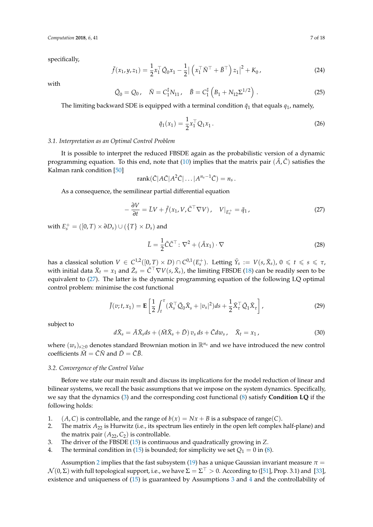specifically,

$$
\bar{f}(x_1, y, z_1) = \frac{1}{2} x_1^\top \bar{Q}_0 x_1 - \frac{1}{2} | \left( x_1^\top \bar{N}^\top + \bar{B}^\top \right) z_1 |^2 + K_0,
$$
\n(24)

with

$$
\bar{Q}_0 = Q_0, \quad \bar{N} = C_1^{\sharp} N_{11}, \quad \bar{B} = C_1^{\sharp} \left( B_1 + N_{12} \Sigma^{1/2} \right). \tag{25}
$$

The limiting backward SDE is equipped with a terminal condition  $\bar{q}_1$  that equals  $q_1$ , namely,

$$
\bar{q}_1(x_1) = \frac{1}{2} x_1^\top Q_1 x_1. \tag{26}
$$

## *3.1. Interpretation as an Optimal Control Problem*

It is possible to interpret the reduced FBSDE again as the probabilistic version of a dynamic programming equation. To this end, note that [\(10\)](#page-4-3) implies that the matrix pair  $(\bar{A}, \bar{C})$  satisfies the Kalman rank condition [\[50\]](#page-17-1)

$$
rank(\bar{C}|A\bar{C}|A^2\bar{C}|...|A^{n_s-1}\bar{C})=n_s.
$$

As a consequence, the semilinear partial differential equation

<span id="page-6-0"></span>
$$
-\frac{\partial V}{\partial t} = \bar{L}V + \bar{f}(x_1, V, \bar{C}^\top \nabla V), \quad V|_{E_s^+} = \bar{q}_1,
$$
\n(27)

with  $E_s^+ = ([0, T) \times \partial D_s) \cup (\{T\} \times D_s)$  and

<span id="page-6-5"></span>
$$
\bar{L} = \frac{1}{2}\bar{C}\bar{C}^{\top} \colon \nabla^2 + (\bar{A}x_1) \cdot \nabla \tag{28}
$$

 $\text{has a classical solution } V \in C^{1,2}([0,T) \times D) \cap C^{0,1}(E^+_s)$ . Letting  $\bar{Y}_s := V(s, \bar{X}_s)$ ,  $0 \leqslant t \leqslant s \leqslant \tau$ , with initial data  $\bar{X}_t = x_1$  and  $\bar{Z}_s = \bar{C}^\top \nabla V(s, \bar{X}_s)$ , the limiting FBSDE [\(18\)](#page-5-1) can be readily seen to be equivalent to [\(27\)](#page-6-0). The latter is the dynamic programming equation of the following LQ optimal control problem: minimise the cost functional

<span id="page-6-6"></span>
$$
\bar{J}(v;t,x_1) = \mathbf{E}\left[\frac{1}{2}\int_t^\tau (\bar{X}_s^\top \bar{Q}_0 \bar{X}_s + |v_s|^2)ds + \frac{1}{2}\bar{X}_\tau^\top \bar{Q}_1 \bar{X}_\tau\right],\tag{29}
$$

subject to

<span id="page-6-4"></span>
$$
d\bar{X}_s = \bar{A}\bar{X}_s ds + (\bar{M}\bar{X}_s + \bar{D}) v_s ds + \bar{C} dw_s, \quad \bar{X}_t = x_1,
$$
\n(30)

where  $(w_s)_{s>0}$  denotes standard Brownian motion in  $\mathbb{R}^{n_s}$  and we have introduced the new control coefficients  $\overline{M} = \overline{C}\overline{N}$  and  $\overline{D} = \overline{C}\overline{B}$ .

## *3.2. Convergence of the Control Value*

Before we state our main result and discuss its implications for the model reduction of linear and bilinear systems, we recall the basic assumptions that we impose on the system dynamics. Specifically, we say that the dynamics [\(3\)](#page-2-1) and the corresponding cost functional [\(8\)](#page-3-2) satisfy **Condition LQ** if the following holds:

- <span id="page-6-7"></span><span id="page-6-1"></span>1. (*A*, *C*) is controllable, and the range of  $b(x) = Nx + B$  is a subspace of range(*C*).
- 2. The matrix *A*<sup>22</sup> is Hurwitz (i.e., its spectrum lies entirely in the open left complex half-plane) and the matrix pair  $(A_{22}, C_2)$  is controllable.
- <span id="page-6-3"></span><span id="page-6-2"></span>3. The driver of the FBSDE [\(15\)](#page-4-2) is continuous and quadratically growing in *Z*.
- 4. The terminal condition in [\(15\)](#page-4-2) is bounded; for simplicity we set  $Q_1 = 0$  in [\(8\)](#page-3-2).

Assumption [2](#page-6-1) implies that the fast subsystem [\(19\)](#page-5-2) has a unique Gaussian invariant measure  $\pi$  =  $\mathcal{N}(0,\Sigma)$  with full topological support, i.e., we have  $\Sigma=\Sigma^\top>0.$  According to ([\[51\]](#page-17-2), Prop. 3.1) and [\[33\]](#page-16-6), existence and uniqueness of [\(15\)](#page-4-2) is guaranteed by Assumptions [3](#page-6-2) and [4](#page-6-3) and the controllability of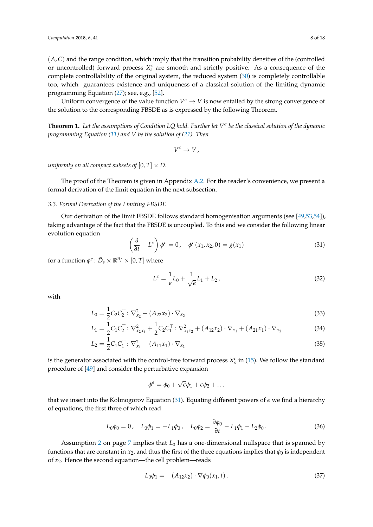$(A, C)$  and the range condition, which imply that the transition probability densities of the (controlled or uncontrolled) forward process  $X_s^{\epsilon}$  are smooth and strictly positive. As a consequence of the complete controllability of the original system, the reduced system [\(30\)](#page-6-4) is completely controllable too, which guarantees existence and uniqueness of a classical solution of the limiting dynamic programming Equation [\(27\)](#page-6-0); see, e.g., [\[52\]](#page-17-3).

Uniform convergence of the value function  $V^{\epsilon} \to V$  is now entailed by the strong convergence of the solution to the corresponding FBSDE as is expressed by the following Theorem.

<span id="page-7-2"></span>**Theorem 1.** *Let the assumptions of Condition LQ hold. Further let V e be the classical solution of the dynamic programming Equation [\(11\)](#page-4-0) and V be the solution of [\(27\)](#page-6-0). Then*

$$
V^{\epsilon} \to V,
$$

*uniformly on all compact subsets of*  $[0, T] \times D$ .

The proof of the Theorem is given in Appendix [A.2.](#page-14-0) For the reader's convenience, we present a formal derivation of the limit equation in the next subsection.

## <span id="page-7-5"></span>*3.3. Formal Derivation of the Limiting FBSDE*

Our derivation of the limit FBSDE follows standard homogenisation arguments (see [\[49](#page-17-0)[,53](#page-17-4)[,54\]](#page-17-5)), taking advantage of the fact that the FBSDE is uncoupled. To this end we consider the following linear evolution equation

<span id="page-7-0"></span>
$$
\left(\frac{\partial}{\partial t} - L^{\epsilon}\right)\phi^{\epsilon} = 0, \quad \phi^{\epsilon}(x_1, x_2, 0) = g(x_1)
$$
\n(31)

for a function  $\phi^{\epsilon}$ :  $\bar{D}_s \times \mathbb{R}^{n_f} \times [0, T]$  where

<span id="page-7-3"></span>
$$
L^{\epsilon} = \frac{1}{\epsilon}L_0 + \frac{1}{\sqrt{\epsilon}}L_1 + L_2, \qquad (32)
$$

with

$$
L_0 = \frac{1}{2} C_2 C_2^{\top} : \nabla_{x_2}^2 + (A_{22} x_2) \cdot \nabla_{x_2}
$$
\n(33)

$$
L_1 = \frac{1}{2} C_1 C_2^{\top} : \nabla_{x_2 x_1}^2 + \frac{1}{2} C_2 C_1^{\top} : \nabla_{x_1 x_2}^2 + (A_{12} x_2) \cdot \nabla_{x_1} + (A_{21} x_1) \cdot \nabla_{x_2}
$$
\n(34)

$$
L_2 = \frac{1}{2} C_1 C_1^\top \colon \nabla_{x_1}^2 + (A_{11} x_1) \cdot \nabla_{x_1}
$$
\n(35)

is the generator associated with the control-free forward process  $X_s^{\epsilon}$  in [\(15\)](#page-4-2). We follow the standard procedure of [\[49\]](#page-17-0) and consider the perturbative expansion

> <span id="page-7-4"></span> $\phi^{\epsilon} = \phi_0 + \sqrt{\frac{2}{\epsilon}}$  $\overline{\epsilon}\phi_1 + \epsilon\phi_2 + \ldots$

that we insert into the Kolmogorov Equation [\(31\)](#page-7-0). Equating different powers of  $\epsilon$  we find a hierarchy of equations, the first three of which read

<span id="page-7-1"></span>
$$
L_0 \phi_0 = 0
$$
,  $L_0 \phi_1 = -L_1 \phi_0$ ,  $L_0 \phi_2 = \frac{\partial \phi_0}{\partial t} - L_1 \phi_1 - L_2 \phi_0$ . (36)

Assumption [2](#page-6-1) on page [7](#page-6-1) implies that *L*<sup>0</sup> has a one-dimensional nullspace that is spanned by functions that are constant in  $x_2$ , and thus the first of the three equations implies that  $\phi_0$  is independent of *x*2. Hence the second equation—the cell problem—reads

$$
L_0 \phi_1 = -(A_{12} x_2) \cdot \nabla \phi_0(x_1, t).
$$
 (37)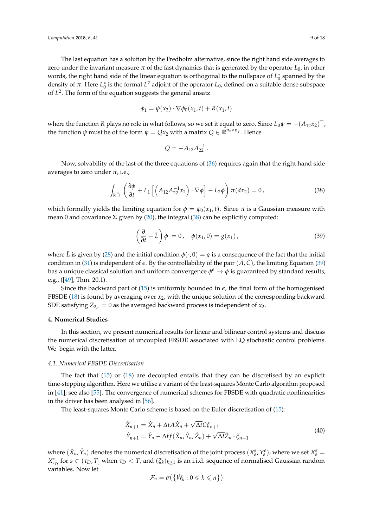The last equation has a solution by the Fredholm alternative, since the right hand side averages to zero under the invariant measure *π* of the fast dynamics that is generated by the operator *L*0, in other words, the right hand side of the linear equation is orthogonal to the nullspace of  $L_0^*$  spanned by the density of  $\pi$ . Here  $L_0^*$  is the formal  $L^2$  adjoint of the operator  $L_0$ , defined on a suitable dense subspace of *L* 2 . The form of the equation suggests the general ansatz

$$
\phi_1 = \psi(x_2) \cdot \nabla \phi_0(x_1, t) + R(x_1, t)
$$

where the function *R* plays no role in what follows, so we set it equal to zero. Since  $L_0\psi = -(A_{12}x_2)^\top$ , the function  $\psi$  must be of the form  $\psi = Qx_2$  with a matrix  $Q \in \mathbb{R}^{n_s \times n_f}$ . Hence

$$
Q = -A_{12}A_{22}^{-1}.
$$

Now, solvability of the last of the three equations of [\(36\)](#page-7-1) requires again that the right hand side averages to zero under  $\pi$ , i.e.,

<span id="page-8-1"></span>
$$
\int_{\mathbb{R}^{n_{f}}} \left( \frac{\partial \phi}{\partial t} + L_{1} \left[ \left( A_{12} A_{22}^{-1} x_{2} \right) \cdot \nabla \phi \right] - L_{2} \phi \right) \pi(dx_{2}) = 0, \qquad (38)
$$

which formally yields the limiting equation for  $\phi = \phi_0(x_1, t)$ . Since  $\pi$  is a Gaussian measure with mean 0 and covariance  $\Sigma$  given by [\(20\)](#page-5-3), the integral [\(38\)](#page-8-1) can be explicitly computed:

<span id="page-8-2"></span>
$$
\left(\frac{\partial}{\partial t} - \bar{L}\right)\phi = 0, \quad \phi(x_1, 0) = g(x_1), \tag{39}
$$

where *L* is given by [\(28\)](#page-6-5) and the initial condition  $\phi(\cdot, 0) = g$  is a consequence of the fact that the initial condition in [\(31\)](#page-7-0) is independent of  $\epsilon$ . By the controllability of the pair  $(\bar{A}, \bar{C})$ , the limiting Equation [\(39\)](#page-8-2) has a unique classical solution and uniform convergence  $\phi^\epsilon\to\phi$  is guaranteed by standard results, e.g., ([\[49\]](#page-17-0), Thm. 20.1).

Since the backward part of  $(15)$  is uniformly bounded in  $\epsilon$ , the final form of the homogenised FBSDE [\(18\)](#page-5-1) is found by averaging over *x*2, with the unique solution of the corresponding backward SDE satisfying  $Z_{2,s} = 0$  as the averaged backward process is independent of  $x_2$ .

## <span id="page-8-0"></span>**4. Numerical Studies**

In this section, we present numerical results for linear and bilinear control systems and discuss the numerical discretisation of uncoupled FBSDE associated with LQ stochastic control problems. We begin with the latter.

## *4.1. Numerical FBSDE Discretisation*

The fact that [\(15\)](#page-4-2) or [\(18\)](#page-5-1) are decoupled entails that they can be discretised by an explicit time-stepping algorithm. Here we utilise a variant of the least-squares Monte Carlo algorithm proposed in [\[41\]](#page-16-17); see also [\[55\]](#page-17-6). The convergence of numerical schemes for FBSDE with quadratic nonlinearities in the driver has been analysed in [\[56\]](#page-17-7).

The least-squares Monte Carlo scheme is based on the Euler discretisation of [\(15\)](#page-4-2):

<span id="page-8-3"></span>
$$
\hat{X}_{n+1} = \hat{X}_n + \Delta t A \hat{X}_n + \sqrt{\Delta t} C \xi_{n+1}
$$
\n
$$
\hat{Y}_{n+1} = \hat{Y}_n - \Delta t f(\hat{X}_n, \hat{Y}_n, \hat{Z}_n) + \sqrt{\Delta t} \hat{Z}_n \cdot \xi_{n+1}
$$
\n(40)

where  $(\hat{X}_n, \hat{Y}_n)$  denotes the numerical discretisation of the joint process  $(X_s^{\epsilon}, Y_s^{\epsilon})$ , where we set  $X_s^{\epsilon}$ *X*<sup>ε</sup><sub>*τ*</sub></sub> for *s* ∈ (*τ*<sub>*D*</sub>, *T*] when *τ*<sub>*D*</sub> < *T*, and ( $ξ$ <sub>*k*</sub>)<sub>*k*≥1</sub> is an i.i.d. sequence of normalised Gaussian random variables. Now let

$$
\mathcal{F}_n = \sigma\big(\big\{\hat{W}_k : 0 \leqslant k \leqslant n\big\}\big)
$$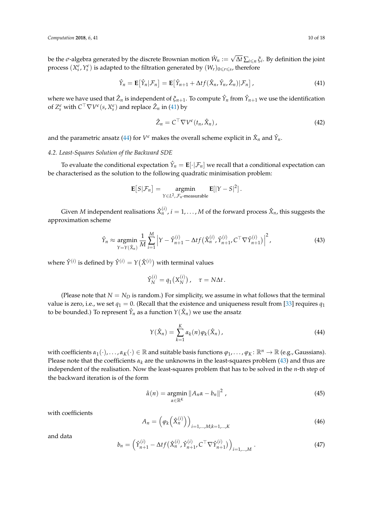be the  $\sigma$ -algebra generated by the discrete Brownian motion  $\hat{W}_n :=$ √  $\Delta t$  ∑<sub>*i*≤*n*</sub>  $\zeta$ <sup>*i*</sup>. By definition the joint process  $(X_s^{\epsilon}, Y_s^{\epsilon})$  is adapted to the filtration generated by  $(W_r)_{0\leqslant r\leqslant s}$ , therefore

<span id="page-9-0"></span>
$$
\hat{Y}_n = \mathbf{E}[\hat{Y}_n|\mathcal{F}_n] = \mathbf{E}[\hat{Y}_{n+1} + \Delta t f(\hat{X}_n, \hat{Y}_n, \hat{Z}_n)|\mathcal{F}_n],
$$
\n(41)

where we have used that  $\hat{Z}_n$  is independent of  $\xi_{n+1}$ . To compute  $\hat{Y}_n$  from  $\hat{Y}_{n+1}$  we use the identification of  $Z_s^{\epsilon}$  with  $C^{\top} \nabla V^{\epsilon}(s, X_s^{\epsilon})$  and replace  $\hat{Z}_n$  in [\(41\)](#page-9-0) by

$$
\hat{Z}_n = C^\top \nabla V^\epsilon(t_n, \hat{X}_n), \tag{42}
$$

and the parametric ansatz [\(44\)](#page-9-1) for  $V^\epsilon$  makes the overall scheme explicit in  $\hat{X}_n$  and  $\hat{Y}_n$ .

## *4.2. Least-Squares Solution of the Backward SDE*

To evaluate the conditional expectation  $\hat{Y}_n = \mathbf{E}[\cdot|\mathcal{F}_n]$  we recall that a conditional expectation can be characterised as the solution to the following quadratic minimisation problem:

$$
\mathbf{E}[S|\mathcal{F}_n] = \underset{Y \in L^2, \mathcal{F}_n\text{-measurable}}{\text{argmin}} \mathbf{E}[|Y - S|^2].
$$

Given  $M$  independent realisations  $\hat{X}_n^{(i)}$ ,  $i = 1, \ldots, M$  of the forward process  $\hat{X}_n$ , this suggests the approximation scheme

<span id="page-9-2"></span>
$$
\hat{Y}_n \approx \underset{Y=Y(\hat{X}_n)}{\text{argmin}} \frac{1}{M} \sum_{i=1}^{M} \left| Y - \hat{Y}_{n+1}^{(i)} - \Delta t f\left(\hat{X}_n^{(i)}, \hat{Y}_{n+1}^{(i)}, C^{\top} \nabla \hat{Y}_{n+1}^{(i)}\right) \right|^2, \tag{43}
$$

where  $\hat{Y}^{(i)}$  is defined by  $\hat{Y}^{(i)} = Y(\hat{X}^{(i)})$  with terminal values

$$
\hat{Y}_N^{(i)} = q_1(X_N^{(i)})\,, \quad \tau = N\Delta t\,.
$$

(Please note that  $N = N_D$  is random.) For simplicity, we assume in what follows that the terminal value is zero, i.e., we set  $q_1 = 0$ . (Recall that the existence and uniqueness result from [\[33\]](#page-16-6) requires  $q_1$ to be bounded.) To represent  $\hat{Y}_n$  as a function  $Y(\hat{X}_n)$  we use the ansatz

<span id="page-9-1"></span>
$$
Y(\hat{X}_n) = \sum_{k=1}^{K} \alpha_k(n) \varphi_k(\hat{X}_n), \qquad (44)
$$

with coefficients  $\alpha_1(\cdot), \ldots, \alpha_K(\cdot) \in \mathbb{R}$  and suitable basis functions  $\varphi_1, \ldots, \varphi_K \colon \mathbb{R}^n \to \mathbb{R}$  (e.g., Gaussians). Please note that the coefficients  $\alpha_k$  are the unknowns in the least-squares problem [\(43\)](#page-9-2) and thus are independent of the realisation. Now the least-squares problem that has to be solved in the *n*-th step of the backward iteration is of the form

<span id="page-9-4"></span>
$$
\hat{\alpha}(n) = \underset{\alpha \in \mathbb{R}^K}{\text{argmin}} \left\| A_n \alpha - b_n \right\|^2, \tag{45}
$$

with coefficients

<span id="page-9-3"></span>
$$
A_n = \left(\varphi_k\left(\hat{X}_n^{(i)}\right)\right)_{i=1,\dots,M;k=1,\dots,K}
$$
\n(46)

and data

$$
b_n = \left(\hat{Y}_{n+1}^{(i)} - \Delta t f(\hat{X}_n^{(i)}, \hat{Y}_{n+1}^{(i)}, C^\top \nabla \hat{Y}_{n+1}^{(i)})\right)_{i=1,\dots,M}.
$$
\n(47)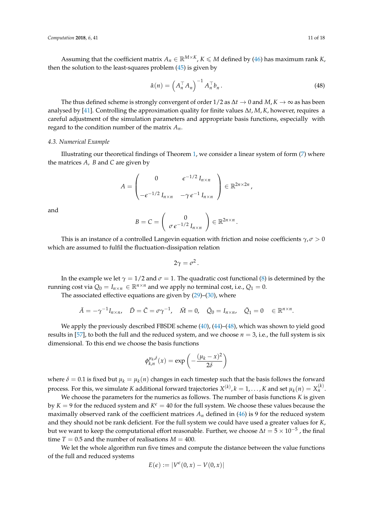Assuming that the coefficient matrix  $A_n \in \mathbb{R}^{M \times K}$ ,  $K \le M$  defined by [\(46\)](#page-9-3) has maximum rank *K*, then the solution to the least-squares problem  $(45)$  is given by

<span id="page-10-0"></span>
$$
\hat{\alpha}(n) = \left(A_n^\top A_n\right)^{-1} A_n^\top b_n.
$$
\n(48)

,

The thus defined scheme is strongly convergent of order  $1/2$  as  $\Delta t \to 0$  and  $M$ ,  $K \to \infty$  as has been analysed by [\[41\]](#page-16-17). Controlling the approximation quality for finite values ∆*t*, *M*, *K*, however, requires a careful adjustment of the simulation parameters and appropriate basis functions, especially with regard to the condition number of the matrix *An*.

## *4.3. Numerical Example*

Illustrating our theoretical findings of Theorem [1,](#page-7-2) we consider a linear system of form  $(7)$  where the matrices *A*, *B* and *C* are given by

$$
A = \begin{pmatrix} 0 & \epsilon^{-1/2} I_{n \times n} \\ -\epsilon^{-1/2} I_{n \times n} & -\gamma \epsilon^{-1} I_{n \times n} \end{pmatrix} \in \mathbb{R}^{2n \times 2n}
$$

and

$$
B=C=\left(\begin{array}{c}0\\\sigma\epsilon^{-1/2}I_{n\times n}\end{array}\right)\in\mathbb{R}^{2n\times n}.
$$

This is an instance of a controlled Langevin equation with friction and noise coefficients *γ*, *σ* > 0 which are assumed to fulfil the fluctuation-dissipation relation

$$
2\gamma=\sigma^2.
$$

In the example we let  $\gamma = 1/2$  and  $\sigma = 1$ . The quadratic cost functional [\(8\)](#page-3-2) is determined by the running cost via  $Q_0 = I_{n \times n} \in \mathbb{R}^{n \times n}$  and we apply no terminal cost, i.e.,  $Q_1 = 0$ .

The associated effective equations are given by  $(29)$ – $(30)$ , where

$$
\bar{A}=-\gamma^{-1}I_{n\times n}, \quad \bar{D}=\bar{C}=\sigma\gamma^{-1}, \quad \bar{M}=0, \quad \bar{Q}_0=I_{n\times n}, \quad \bar{Q}_1=0 \quad \in \mathbb{R}^{n\times n}.
$$

We apply the previously described FBSDE scheme  $(40)$ ,  $(44)$ – $(48)$ , which was shown to yield good results in [\[57\]](#page-17-8), to both the full and the reduced system, and we choose  $n = 3$ , i.e., the full system is six dimensional. To this end we choose the basis functions

$$
\phi_{k,n}^{\mu_k,\delta}(x) = \exp\left(-\frac{(\mu_k - x)^2}{2\delta}\right)
$$

where  $\delta = 0.1$  is fixed but  $\mu_k = \mu_k(n)$  changes in each timestep such that the basis follows the forward process. For this, we simulate *K* additional forward trajectories  $X^{(k)}$ ,  $k = 1, \ldots, K$  and set  $\mu_k(n) = X_n^{(k)}$ .

We choose the parameters for the numerics as follows. The number of basis functions *K* is given by  $K = 9$  for the reduced system and  $K^{\epsilon} = 40$  for the full system. We choose these values because the maximally observed rank of the coefficient matrices  $A_n$  defined in [\(46\)](#page-9-3) is 9 for the reduced system and they should not be rank deficient. For the full system we could have used a greater values for *K*, but we want to keep the computational effort reasonable. Further, we choose  $\Delta t = 5 \times 10^{-5}$  , the final time  $T = 0.5$  and the number of realisations  $M = 400$ .

We let the whole algorithm run five times and compute the distance between the value functions of the full and reduced systems

$$
E(\epsilon) := |V^{\epsilon}(0, x) - V(0, x)|
$$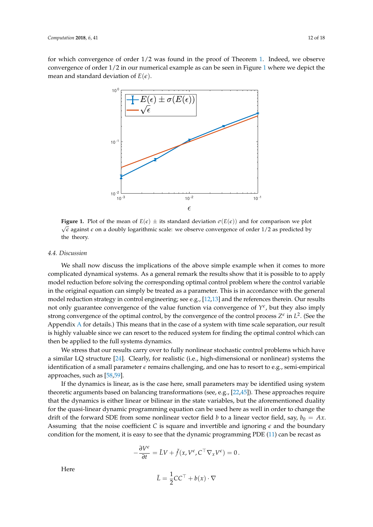<span id="page-11-0"></span>for which convergence of order 1/2 was found in the proof of Theorem [1.](#page-7-2) Indeed, we observe convergence of order 1/2 in our numerical example as can be seen in Figure [1](#page-11-0) where we depict the mean and standard deviation of  $E(\epsilon)$ .



**Figure 1.** Plot of the mean of  $E(\epsilon) \pm$  its standard deviation  $\sigma(E(\epsilon))$  and for comparison we plot  $\sqrt{\epsilon}$  against  $\epsilon$  on a doubly logarithmic scale: we observe convergence of order 1/2 as predicted by the theory.

## *4.4. Discussion*

We shall now discuss the implications of the above simple example when it comes to more complicated dynamical systems. As a general remark the results show that it is possible to to apply model reduction before solving the corresponding optimal control problem where the control variable in the original equation can simply be treated as a parameter. This is in accordance with the general model reduction strategy in control engineering; see e.g., [\[12](#page-15-11)[,13\]](#page-15-12) and the references therein. Our results not only guarantee convergence of the value function via convergence of  $Y^{\epsilon}$ , but they also imply strong convergence of the optimal control, by the convergence of the control process  $Z^{\epsilon}$  in  $L^2$ . (See the Appendix [A](#page-12-1) for details.) This means that in the case of a system with time scale separation, our result is highly valuable since we can resort to the reduced system for finding the optimal control which can then be applied to the full systems dynamics.

We stress that our results carry over to fully nonlinear stochastic control problems which have a similar LQ structure [\[24\]](#page-16-1). Clearly, for realistic (i.e., high-dimensional or nonlinear) systems the identification of a small parameter  $\epsilon$  remains challenging, and one has to resort to e.g., semi-empirical approaches, such as [\[58](#page-17-9)[,59\]](#page-17-10).

If the dynamics is linear, as is the case here, small parameters may be identified using system theoretic arguments based on balancing transformations (see, e.g., [\[22](#page-15-21)[,45\]](#page-16-13)). These approaches require that the dynamics is either linear or bilinear in the state variables, but the aforementioned duality for the quasi-linear dynamic programming equation can be used here as well in order to change the drift of the forward SDE from some nonlinear vector field *b* to a linear vector field, say,  $b_0 = Ax$ . Assuming that the noise coefficient *C* is square and invertible and ignoring  $\epsilon$  and the boundary condition for the moment, it is easy to see that the dynamic programming PDE [\(11\)](#page-4-0) can be recast as

$$
-\frac{\partial V^{\epsilon}}{\partial t} = \tilde{L}V + \tilde{f}(x, V^{\epsilon}, C^{\top} \nabla_{x} V^{\epsilon}) = 0.
$$

Here

$$
\tilde{L} = \frac{1}{2}CC^{\top} + b(x) \cdot \nabla
$$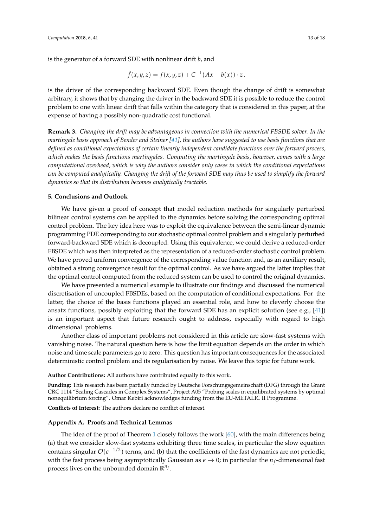$$
\tilde{f}(x,y,z) = f(x,y,z) + C^{-1}(Ax - b(x)) \cdot z.
$$

is the driver of the corresponding backward SDE. Even though the change of drift is somewhat arbitrary, it shows that by changing the driver in the backward SDE it is possible to reduce the control problem to one with linear drift that falls within the category that is considered in this paper, at the expense of having a possibly non-quadratic cost functional.

**Remark 3.** *Changing the drift may be advantageous in connection with the numerical FBSDE solver. In the martingale basis approach of Bender and Steiner [\[41\]](#page-16-17), the authors have suggested to use basis functions that are defined as conditional expectations of certain linearly independent candidate functions over the forward process, which makes the basis functions martingales. Computing the martingale basis, however, comes with a large computational overhead, which is why the authors consider only cases in which the conditional expectations can be computed analytically. Changing the drift of the forward SDE may thus be used to simplify the forward dynamics so that its distribution becomes analytically tractable.*

## <span id="page-12-0"></span>**5. Conclusions and Outlook**

We have given a proof of concept that model reduction methods for singularly perturbed bilinear control systems can be applied to the dynamics before solving the corresponding optimal control problem. The key idea here was to exploit the equivalence between the semi-linear dynamic programming PDE corresponding to our stochastic optimal control problem and a singularly perturbed forward-backward SDE which is decoupled. Using this equivalence, we could derive a reduced-order FBSDE which was then interpreted as the representation of a reduced-order stochastic control problem. We have proved uniform convergence of the corresponding value function and, as an auxiliary result, obtained a strong convergence result for the optimal control. As we have argued the latter implies that the optimal control computed from the reduced system can be used to control the original dynamics.

We have presented a numerical example to illustrate our findings and discussed the numerical discretisation of uncoupled FBSDEs, based on the computation of conditional expectations. For the latter, the choice of the basis functions played an essential role, and how to cleverly choose the ansatz functions, possibly exploiting that the forward SDE has an explicit solution (see e.g., [\[41\]](#page-16-17)) is an important aspect that future research ought to address, especially with regard to high dimensional problems.

Another class of important problems not considered in this article are slow-fast systems with vanishing noise. The natural question here is how the limit equation depends on the order in which noise and time scale parameters go to zero. This question has important consequences for the associated deterministic control problem and its regularisation by noise. We leave this topic for future work.

**Author Contributions:** All authors have contributed equally to this work.

**Funding:** This research has been partially funded by Deutsche Forschungsgemeinschaft (DFG) through the Grant CRC 1114 "Scaling Cascades in Complex Systems", Project A05 "Probing scales in equilibrated systems by optimal nonequilibrium forcing". Omar Kebiri acknowledges funding from the EU-METALIC II Programme.

**Conflicts of Interest:** The authors declare no conflict of interest.

## <span id="page-12-1"></span>**Appendix A. Proofs and Technical Lemmas**

The idea of the proof of Theorem [1](#page-7-2) closely follows the work [\[60\]](#page-17-11), with the main differences being (a) that we consider slow-fast systems exhibiting three time scales, in particular the slow equation contains singular  $\mathcal{O}(\epsilon^{-1/2})$  terms, and (b) that the coefficients of the fast dynamics are not periodic, with the fast process being asymptotically Gaussian as  $\epsilon \to 0$ ; in particular the  $n_f$ -dimensional fast process lives on the unbounded domain  $\mathbb{R}^{n_f}$ .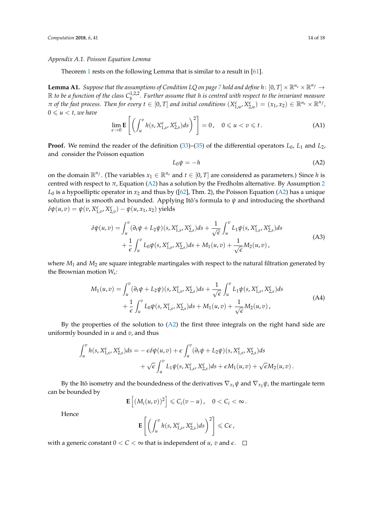#### *Appendix A.1. Poisson Equation Lemma*

Theorem [1](#page-7-2) rests on the following Lemma that is similar to a result in [\[61\]](#page-17-12).

<span id="page-13-1"></span>**Lemma A1.** Suppose that the assumptions of Condition LQ on page [7](#page-6-3) hold and define  $h: [0, T] \times \mathbb{R}^{n_s} \times \mathbb{R}^{n_f} \to$  $\mathbb R$  *to be a function of the class*  $C_h^{1,2,2}$ *b . Further assume that h is centred with respect to the invariant measure*  $\pi$  of the fast process. Then for every  $t \in [0,T]$  and initial conditions  $(X_{1,u}^{\epsilon}, X_{2,u}^{\epsilon}) = (x_1, x_2) \in \mathbb{R}^{n_s} \times \mathbb{R}^{n_f}$ ,  $0 \leq u < t$ , we have

$$
\lim_{\epsilon \to 0} \mathbf{E} \left[ \left( \int_u^v h(s, X_{1,s}^{\epsilon}, X_{2,s}^{\epsilon}) ds \right)^2 \right] = 0, \quad 0 \le u < v \le t.
$$
 (A1)

**Proof.** We remind the reader of the definition [\(33\)](#page-7-3)–[\(35\)](#page-7-4) of the differential operators *L*0, *L*<sup>1</sup> and *L*2, and consider the Poisson equation

<span id="page-13-0"></span>
$$
L_0 \psi = -h \tag{A2}
$$

on the domain  $\mathbb{R}^{n_f}$ . (The variables  $x_1 \in \mathbb{R}^{n_s}$  and  $t \in [0, T]$  are considered as parameters.) Since *h* is centred with respect to  $\pi$ , Equation [\(A2\)](#page-13-0) has a solution by the Fredholm alternative. By Assumption [2](#page-6-1)  $L_0$  is a hypoelliptic operator in  $x_2$  and thus by ([\[62\]](#page-17-13), Thm. 2), the Poisson Equation [\(A2\)](#page-13-0) has a unique solution that is smooth and bounded. Applying Itô's formula to *ψ* and introducing the shorthand  $\delta\psi(u,v) = \psi(v,X_{1,v}^{\epsilon},X_{2,v}^{\epsilon}) - \psi(u,x_1,x_2)$  yields

$$
\delta\psi(u,v) = \int_{u}^{v} (\partial_{t}\psi + L_{2}\psi)(s, X_{1,s}^{\epsilon}, X_{2,s}^{\epsilon})ds + \frac{1}{\sqrt{\epsilon}} \int_{u}^{v} L_{1}\psi(s, X_{1,s}^{\epsilon}, X_{2,s}^{\epsilon})ds + \frac{1}{\epsilon} \int_{u}^{v} L_{0}\psi(s, X_{1,s}^{\epsilon}, X_{2,s}^{\epsilon})ds + M_{1}(u,v) + \frac{1}{\sqrt{\epsilon}} M_{2}(u,v),
$$
\n(A3)

where  $M_1$  and  $M_2$  are square integrable martingales with respect to the natural filtration generated by the Brownian motion *W<sup>s</sup>* :

$$
M_1(u,v) = \int_u^v (\partial_t \psi + L_2 \psi)(s, X_{1,s}^{\epsilon}, X_{2,s}^{\epsilon}) ds + \frac{1}{\sqrt{\epsilon}} \int_u^v L_1 \psi(s, X_{1,s}^{\epsilon}, X_{2,s}^{\epsilon}) ds + \frac{1}{\epsilon} \int_u^v L_0 \psi(s, X_{1,s}^{\epsilon}, X_{2,s}^{\epsilon}) ds + M_1(u,v) + \frac{1}{\sqrt{\epsilon}} M_2(u,v),
$$
\n(A4)

By the properties of the solution to  $(A2)$  the first three integrals on the right hand side are uniformly bounded in *u* and *v*, and thus

$$
\int_{u}^{v} h(s, X_{1,s}^{\epsilon}, X_{2,s}^{\epsilon}) ds = -\epsilon \delta \psi(u, v) + \epsilon \int_{u}^{v} (\partial_t \psi + L_2 \psi)(s, X_{1,s}^{\epsilon}, X_{2,s}^{\epsilon}) ds + \sqrt{\epsilon} \int_{u}^{v} L_1 \psi(s, X_{1,s}^{\epsilon}, X_{2,s}^{\epsilon}) ds + \epsilon M_1(u, v) + \sqrt{\epsilon} M_2(u, v).
$$

By the Itô isometry and the boundedness of the derivatives  $\nabla_{x_1}\psi$  and  $\nabla_{x_2}\psi$ , the martingale term can be bounded by

$$
\mathbf{E}\left[(M_i(u,v))^2\right] \leqslant C_i(v-u), \quad 0 < C_i < \infty.
$$

Hence

$$
\mathbf{E}\left[\left(\int_u^v h(s,X_{1,s}^{\epsilon},X_{2,s}^{\epsilon})ds\right)^2\right] \leqslant C\epsilon,
$$

with a generic constant  $0 < C < \infty$  that is independent of *u*, *v* and  $\epsilon$ .  $\Box$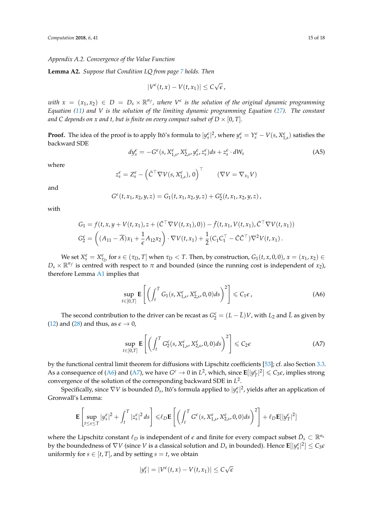#### <span id="page-14-0"></span>*Appendix A.2. Convergence of the Value Function*

**Lemma A2.** *Suppose that Condition LQ from page [7](#page-6-7) holds. Then*

$$
|V^{\epsilon}(t,x)-V(t,x_1)|\leq C\sqrt{\epsilon}\,
$$

*with*  $x = (x_1, x_2) \in D = D_s \times \mathbb{R}^{n_f}$ , where  $V^{\epsilon}$  is the solution of the original dynamic programming *Equation [\(11\)](#page-4-0) and V is the solution of the limiting dynamic programming Equation [\(27\)](#page-6-0). The constant and C depends on x and t, but is finite on every compact subset of*  $D \times [0, T]$ *.* 

**Proof.** The idea of the proof is to apply Itô's formula to  $|y_s^{\epsilon}|^2$ , where  $y_s^{\epsilon} = Y_s^{\epsilon} - V(s, X_{1,s}^{\epsilon})$  satisfies the backward SDE

$$
dy_{s}^{\epsilon} = -G^{\epsilon}(s, X_{1,s}^{\epsilon}, X_{2,s}^{\epsilon}, y_{s}^{\epsilon}, z_{s}^{\epsilon})ds + z_{s}^{\epsilon} \cdot dW_{s}
$$
\n(A5)

where

$$
z_s^{\epsilon} = Z_s^{\epsilon} - \left(\bar{C}^{\top} \nabla V(s, X_{1,s}^{\epsilon}), 0\right)^{\top} \qquad (\nabla V = \nabla_{x_1} V)
$$

and

$$
G^{\epsilon}(t, x_1, x_2, y, z) = G_1(t, x_1, x_2, y, z) + G^{\epsilon}_2(t, x_1, x_2, y, z),
$$

with

$$
G_1 = f(t, x, y + V(t, x_1), z + (\bar{C}^\top \nabla V(t, x_1), 0)) - \bar{f}(t, x_1, V(t, x_1), \bar{C}^\top \nabla V(t, x_1))
$$
  
\n
$$
G_2^{\epsilon} = \left( (A_{11} - \overline{A})x_1 + \frac{1}{\epsilon}A_{12}x_2 \right) \cdot \nabla V(t, x_1) + \frac{1}{2}(C_1 C_1^\top - \bar{C}\bar{C}^\top) \nabla^2 V(t, x_1).
$$

We set  $X_s^{\epsilon} = X_{\tau_D}^{\epsilon}$  for  $s \in (\tau_D, T]$  when  $\tau_D < T$ . Then, by construction,  $G_1(t, x, 0, 0)$ ,  $x = (x_1, x_2) \in$  $D_s \times \mathbb{R}^{n_f}$  is centred with respect to  $\pi$  and bounded (since the running cost is independent of *x*<sub>2</sub>), therefore Lemma [A1](#page-13-1) implies that

<span id="page-14-1"></span>
$$
\sup_{t \in [0,T]} \mathbf{E}\left[ \left( \int_t^T G_1(s, X_{1,s}^{\epsilon}, X_{2,s}^{\epsilon}, 0,0) ds \right)^2 \right] \leq C_1 \epsilon \,, \tag{A6}
$$

The second contribution to the driver can be recast as  $G_2^{\epsilon} = (L - \bar{L})V$ , with  $L_2$  and  $\bar{L}$  as given by [\(12\)](#page-4-4) and [\(28\)](#page-6-5) and thus, as  $\epsilon \to 0$ ,

<span id="page-14-2"></span>
$$
\sup_{t \in [0,T]} \mathbf{E} \left[ \left( \int_t^T G_2^{\epsilon}(s, X_{1,s}^{\epsilon}, X_{2,s}^{\epsilon}, 0, 0) ds \right)^2 \right] \leq C_2 \epsilon \tag{A7}
$$

by the functional central limit theorem for diffusions with Lipschitz coefficients [\[53\]](#page-17-4); cf. also Section [3.3.](#page-7-5) As a consequence of [\(A6\)](#page-14-1) and [\(A7\)](#page-14-2), we have  $G^{\epsilon} \to 0$  in  $L^2$ , which, since  $\mathbf{E}[|y^{\epsilon}_T|^2] \leq C_3 \epsilon$ , implies strong convergence of the solution of the corresponding backward SDE in *L* 2 .

Specifically, since  $\nabla V$  is bounded  $\bar{D}_s$ , Itô's formula applied to  $|y_s^{\epsilon}|^2$ , yields after an application of Gronwall's Lemma:

$$
\mathbf{E}\left[\sup_{t\leq s\leq T}|y_s^{\varepsilon}|^2 + \int_t^T|z_s^{\varepsilon}|^2 ds\right] \leq \ell_D \mathbf{E}\left[\left(\int_t^T G^{\varepsilon}(s,X_{1,s}^{\varepsilon},X_{2,s}^{\varepsilon},0,0)ds\right)^2\right] + \ell_D \mathbf{E}[|y_T^{\varepsilon}|^2]
$$

where the Lipschitz constant  $\ell_D$  is independent of  $\epsilon$  and finite for every compact subset  $\bar{D}_s \subset \mathbb{R}^{n_s}$ by the boundedness of  $\nabla V$  (since  $V$  is a classical solution and  $D_s$  in bounded). Hence  $\mathbf{E}[|y_s^\varepsilon|^2]\leq C_3 \epsilon$ uniformly for  $s \in [t, T]$ , and by setting  $s = t$ , we obtain

$$
|y_t^{\epsilon}| = |V^{\epsilon}(t, x) - V(t, x_1)| \leq C\sqrt{\epsilon}
$$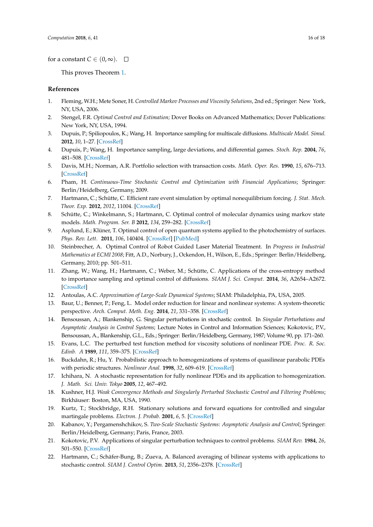for a constant  $C \in (0, \infty)$ .  $\Box$ 

This proves Theorem [1.](#page-7-2)

## **References**

- <span id="page-15-0"></span>1. Fleming, W.H.; Mete Soner, H. *Controlled Markov Processes and Viscosity Solutions*, 2nd ed.; Springer: New York, NY, USA, 2006.
- <span id="page-15-1"></span>2. Stengel, F.R. *Optimal Control and Estimation;* Dover Books on Advanced Mathematics; Dover Publications: New York, NY, USA, 1994.
- <span id="page-15-2"></span>3. Dupuis, P.; Spiliopoulos, K.; Wang, H. Importance sampling for multiscale diffusions. *Multiscale Model. Simul.* **2012**, *10*, 1–27. [\[CrossRef\]](http://dx.doi.org/10.1137/110842545)
- <span id="page-15-3"></span>4. Dupuis, P.; Wang, H. Importance sampling, large deviations, and differential games. *Stoch. Rep.* **2004**, *76*, 481–508. [\[CrossRef\]](http://dx.doi.org/10.1080/10451120410001733845)
- <span id="page-15-4"></span>5. Davis, M.H.; Norman, A.R. Portfolio selection with transaction costs. *Math. Oper. Res.* **1990**, *15*, 676–713. [\[CrossRef\]](http://dx.doi.org/10.1287/moor.15.4.676)
- <span id="page-15-5"></span>6. Pham, H. *Continuous-Time Stochastic Control and Optimization with Financial Applications*; Springer: Berlin/Heidelberg, Germany, 2009.
- <span id="page-15-6"></span>7. Hartmann, C.; Schütte, C. Efficient rare event simulation by optimal nonequilibrium forcing. *J. Stat. Mech. Theor. Exp.* **2012**, *2012*, 11004. [\[CrossRef\]](http://dx.doi.org/10.1088/1742-5468/2012/11/P11004)
- <span id="page-15-7"></span>8. Schütte, C.; Winkelmann, S.; Hartmann, C. Optimal control of molecular dynamics using markov state models. *Math. Program. Ser. B* **2012**, *134*, 259–282. [\[CrossRef\]](http://dx.doi.org/10.1007/s10107-012-0547-6)
- <span id="page-15-8"></span>9. Asplund, E.; Klüner, T. Optimal control of open quantum systems applied to the photochemistry of surfaces. *Phys. Rev. Lett.* **2011**, *106*, 140404. [\[CrossRef\]](http://dx.doi.org/10.1103/PhysRevLett.106.140404) [\[PubMed\]](http://www.ncbi.nlm.nih.gov/pubmed/21561172)
- <span id="page-15-9"></span>10. Steinbrecher, A. Optimal Control of Robot Guided Laser Material Treatment. In *Progress in Industrial Mathematics at ECMI 2008*; Fitt, A.D., Norbury, J., Ockendon, H., Wilson, E., Eds.; Springer: Berlin/Heidelberg, Germany, 2010; pp. 501–511.
- <span id="page-15-10"></span>11. Zhang, W.; Wang, H.; Hartmann, C.; Weber, M.; Schütte, C. Applications of the cross-entropy method to importance sampling and optimal control of diffusions. *SIAM J. Sci. Comput.* **2014**, *36*, A2654–A2672. [\[CrossRef\]](http://dx.doi.org/10.1137/14096493X)
- <span id="page-15-11"></span>12. Antoulas, A.C. *Approximation of Large-Scale Dynamical Systems*; SIAM: Philadelphia, PA, USA, 2005.
- <span id="page-15-12"></span>13. Baur, U.; Benner, P.; Feng, L. Model order reduction for linear and nonlinear systems: A system-theoretic perspective. *Arch. Comput. Meth. Eng.* **2014**, *21*, 331–358. [\[CrossRef\]](http://dx.doi.org/10.1007/s11831-014-9111-2)
- <span id="page-15-13"></span>14. Bensoussan, A.; Blankenship, G. Singular perturbations in stochastic control. In *Singular Perturbations and Asymptotic Analysis in Control Systems*; Lecture Notes in Control and Information Sciences; Kokotovic, P.V., Bensoussan, A., Blankenship, G.L., Eds.; Springer: Berlin/Heidelberg, Germany, 1987; Volume 90, pp. 171–260.
- <span id="page-15-14"></span>15. Evans, L.C. The perturbed test function method for viscosity solutions of nonlinear PDE. *Proc. R. Soc. Edinb. A* **1989**, *111*, 359–375. [\[CrossRef\]](http://dx.doi.org/10.1017/S0308210500018631)
- <span id="page-15-15"></span>16. Buckdahn, R.; Hu, Y. Probabilistic approach to homogenizations of systems of quasilinear parabolic PDEs with periodic structures. *Nonlinear Anal.* **1998**, *32*, 609–619. [\[CrossRef\]](http://dx.doi.org/10.1016/S0362-546X(97)00505-1)
- <span id="page-15-16"></span>17. Ichihara, N. A stochastic representation for fully nonlinear PDEs and its application to homogenization. *J. Math. Sci. Univ. Tokyo* **2005**, *12*, 467–492.
- <span id="page-15-17"></span>18. Kushner, H.J. *Weak Convergence Methods and Singularly Perturbed Stochastic Control and Filtering Problems*; Birkhäuser: Boston, MA, USA, 1990.
- <span id="page-15-18"></span>19. Kurtz, T.; Stockbridge, R.H. Stationary solutions and forward equations for controlled and singular martingale problems. *Electron. J. Probab.* **2001**, *6*, 5. [\[CrossRef\]](http://dx.doi.org/10.1214/EJP.v6-90)
- <span id="page-15-19"></span>20. Kabanov, Y.; Pergamenshchikov, S. *Two-Scale Stochastic Systems: Asymptotic Analysis and Control*; Springer: Berlin/Heidelberg, Germany; Paris, France, 2003.
- <span id="page-15-20"></span>21. Kokotovic, P.V. Applications of singular perturbation techniques to control problems. *SIAM Rev.* **1984**, *26*, 501–550. [\[CrossRef\]](http://dx.doi.org/10.1137/1026104)
- <span id="page-15-21"></span>22. Hartmann, C.; Schäfer-Bung, B.; Zueva, A. Balanced averaging of bilinear systems with applications to stochastic control. *SIAM J. Control Optim.* **2013**, *51*, 2356–2378. [\[CrossRef\]](http://dx.doi.org/10.1137/100796844)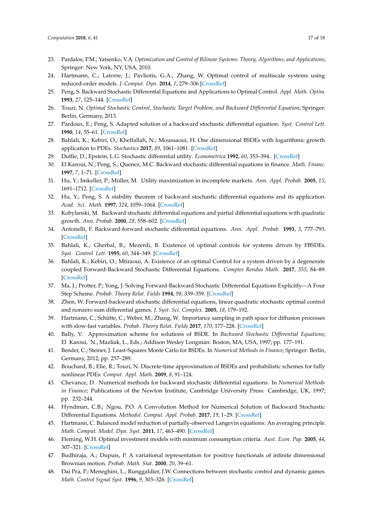- <span id="page-16-0"></span>23. Pardalos, P.M.; Yatsenko, V.A. *Optimization and Control of Bilinear Systems: Theory, Algorithms, and Applications*; Springer: New York, NY, USA, 2010.
- <span id="page-16-1"></span>24. Hartmann, C.; Latorre, J.; Pavliotis, G.A.; Zhang, W. Optimal control of multiscale systems using reduced-order models. *J. Comput. Dyn.* **2014**, *1*, 279–306 [\[CrossRef\]](http://dx.doi.org/10.3934/jcd.2014.1.279)
- <span id="page-16-2"></span>25. Peng, S. Backward Stochastic Differential Equations and Applications to Optimal Control. *Appl. Math. Optim.* **1993**, *27*, 125–144. [\[CrossRef\]](http://dx.doi.org/10.1007/BF01195978)
- <span id="page-16-3"></span>26. Touzi, N. *Optimal Stochastic Control, Stochastic Target Problem, and Backward Differential Equation*; Springer: Berlin, Germany, 2013.
- <span id="page-16-4"></span>27. Pardoux, E.; Peng, S. Adapted solution of a backward stochastic differential equation. *Syst. Control Lett.* **1990**, *14*, 55–61. [\[CrossRef\]](http://dx.doi.org/10.1016/0167-6911(90)90082-6)
- <span id="page-16-5"></span>28. Bahlali, K.; Kebiri, O.; Khelfallah, N.; Moussaoui, H. One dimensional BSDEs with logarithmic growth application to PDEs. *Stochastics* **2017**, *89*, 1061–1081. [\[CrossRef\]](http://dx.doi.org/10.1080/17442508.2017.1311900)
- 29. Duffie, D.; Epstein, L.G. Stochastic differential utility. *Econometrica* **1992**, *60*, 353–394.. [\[CrossRef\]](http://dx.doi.org/10.2307/2951600)
- 30. El Karoui, N.; Peng, S.; Quenez, M.C. Backward stochastic differential equations in finance. *Math. Financ.* **1997**, *7*, 1–71. [\[CrossRef\]](http://dx.doi.org/10.1111/1467-9965.00022)
- 31. Hu, Y.; Imkeller, P.; Müller, M. Utility maximization in incomplete markets. *Ann. Appl. Probab*. **2005**, *15*, 1691–1712. [\[CrossRef\]](http://dx.doi.org/10.1214/105051605000000188)
- 32. Hu, Y.; Peng, S. A stability theorem of backward stochastic differential equations and its application. *Acad. Sci. Math.* **1997**, *324*, 1059–1064. [\[CrossRef\]](http://dx.doi.org/10.1016/S0764-4442(97)87886-X)
- <span id="page-16-6"></span>33. Kobylanski, M. Backward stochastic differential equations and partial differential equations with quadratic growth. *Ann. Probab.* **2000**, *28*, 558–602. [\[CrossRef\]](http://dx.doi.org/10.1214/aop/1019160253)
- <span id="page-16-7"></span>34. Antonelli, F. Backward-forward stochastic differential equations. *Ann. Appl. Probab.* **1993**, *3*, 777–793. [\[CrossRef\]](http://dx.doi.org/10.1214/aoap/1177005363)
- <span id="page-16-8"></span>35. Bahlali, K.; Gherbal, B.; Mezerdi, B. Existence of optimal controls for systems driven by FBSDEs. *Syst. Control Lett.* **1995**, *60*, 344–349. [\[CrossRef\]](http://dx.doi.org/10.1016/j.sysconle.2011.02.011)
- 36. Bahlali, K.; Kebiri, O.; Mtiraoui, A. Existence of an optimal Control for a system driven by a degenerate coupled Forward-Backward Stochastic Differential Equations. *Comptes Rendus Math.* **2017**, *355*, 84–89. [\[CrossRef\]](http://dx.doi.org/10.1016/j.crma.2016.11.012)
- 37. Ma, J.; Protter, P.; Yong, J. Solving Forward-Backward Stochastic Differential Equations Explicitly—A Four Step Scheme. *Probab. Theory Relat. Fields* **1994**, *98*, 339–359. [\[CrossRef\]](http://dx.doi.org/10.1007/BF01192258)
- <span id="page-16-9"></span>38. Zhen, W. Forward-backward stochastic differential equations, linear quadratic stochastic optimal control and nonzero sum differential games. *J. Syst. Sci. Complex.* **2005**, *18*, 179–192.
- <span id="page-16-10"></span>39. Hartmann, C.; Schütte, C.; Weber, M.; Zhang, W. Importance sampling in path space for diffusion processes with slow-fast variables. *Probab. Theory Relat. Fields* **2017**, *170*, 177–228. [\[CrossRef\]](http://dx.doi.org/10.1007/s00440-017-0755-3)
- <span id="page-16-11"></span>40. Bally, V. Approximation scheme for solutions of BSDE. In *Backward Stochastic Differential Equations*; El Karoui, N., Mazliak, L., Eds.; Addison Wesley Longman: Boston, MA, USA, 1997; pp. 177–191.
- <span id="page-16-17"></span>41. Bender, C.; Steiner, J. Least-Squares Monte Carlo for BSDEs. In *Numerical Methods in Finance*; Springer: Berlin, Germany, 2012; pp. 257–289.
- 42. Bouchard, B.; Elie, R.; Touzi, N. Discrete-time approximation of BSDEs and probabilistic schemes for fully nonlinear PDEs. *Comput. Appl. Math.* **2009**, *8*, 91–124.
- 43. Chevance, D. Numerical methods for backward stochastic differential equations. In *Numerical Methods in Finance*; Publications of the Newton Institute, Cambridge University Press: Cambridge, UK, 1997; pp. 232–244.
- <span id="page-16-12"></span>44. Hyndman, C.B.; Ngou, P.O. A Convolution Method for Numerical Solution of Backward Stochastic Differential Equations. *Methodol. Comput. Appl. Probab*. **2017**, *19*, 1–29. [\[CrossRef\]](http://dx.doi.org/10.1007/s11009-015-9449-4)
- <span id="page-16-13"></span>45. Hartmann, C. Balanced model reduction of partially-observed Langevin equations: An averaging principle. *Math. Comput. Model. Dyn. Syst.* **2011**, *17*, 463–490. [\[CrossRef\]](http://dx.doi.org/10.1080/13873954.2011.576517)
- <span id="page-16-14"></span>46. Fleming, W.H. Optimal investment models with minimum consumption criteria. *Aust. Econ. Pap.* **2005**, *44*, 307–321. [\[CrossRef\]](http://dx.doi.org/10.1111/j.1467-8454.2005.00273.x)
- <span id="page-16-15"></span>47. Budhiraja, A.; Dupuis, P. A variational representation for positive functionals of infinite dimensional Brownian motion. *Probab. Math. Stat.* **2000**, *20*, 39–61.
- <span id="page-16-16"></span>48. Dai Pra, P.; Meneghini, L.; Runggaldier, J.W. Connections between stochastic control and dynamic games. *Math. Control Signal Syst.* **1996**, *9*, 303–326. [\[CrossRef\]](http://dx.doi.org/10.1007/BF01211853)